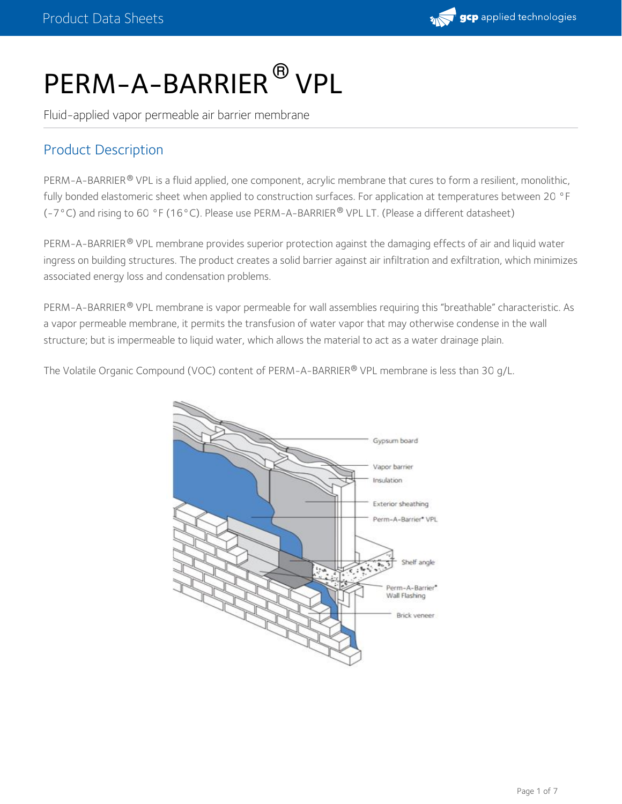

# PERM-A-BARRIER  $^\circledR$  VPL

Fluid-applied vapor permeable air barrier membrane

## Product Description

PERM-A-BARRIER® VPL is a fluid applied, one component, acrylic membrane that cures to form a resilient, monolithic, fully bonded elastomeric sheet when applied to construction surfaces. For application at temperatures between 20 °F (-7°C) and rising to 60 °F (16°C). Please use PERM-A-BARRIER® VPL LT. (Please a different datasheet)

PERM-A-BARRIER® VPL membrane provides superior protection against the damaging effects of air and liquid water ingress on building structures. The product creates a solid barrier against air infiltration and exfiltration, which minimizes associated energy loss and condensation problems.

PERM-A-BARRIER® VPL membrane is vapor permeable for wall assemblies requiring this "breathable" characteristic. As a vapor permeable membrane, it permits the transfusion of water vapor that may otherwise condense in the wall structure; but is impermeable to liquid water, which allows the material to act as a water drainage plain.

The Volatile Organic Compound (VOC) content of PERM-A-BARRIER® VPL membrane is less than 30 g/L.

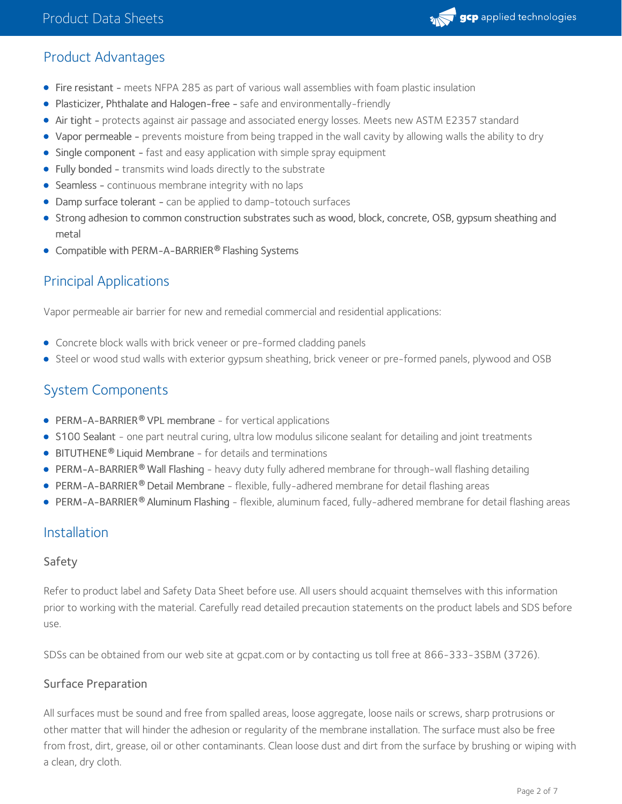

## Product Advantages

- Fire resistant meets NFPA 285 as part of various wall assemblies with foam plastic insulation
- Plasticizer, Phthalate and Halogen-free safe and environmentally-friendly
- Air tight protects against air passage and associated energy losses. Meets new ASTM E2357 standard
- Vapor permeable prevents moisture from being trapped in the wall cavity by allowing walls the ability to dry
- Single component fast and easy application with simple spray equipment
- Fully bonded transmits wind loads directly to the substrate
- Seamless continuous membrane integrity with no laps
- Damp surface tolerant can be applied to damp-totouch surfaces
- Strong adhesion to common construction substrates such as wood, block, concrete, OSB, gypsum sheathing and metal
- **•** Compatible with PERM-A-BARRIER® Flashing Systems

## Principal Applications

Vapor permeable air barrier for new and remedial commercial and residential applications:

- Concrete block walls with brick veneer or pre-formed cladding panels
- Steel or wood stud walls with exterior gypsum sheathing, brick veneer or pre-formed panels, plywood and OSB

## System Components

- **PERM-A-BARRIER® VPL membrane for vertical applications**
- S100 [Sealant](https://gcpat.com/solutions/products/perm-a-barrier-air-barrier-system/perm-a-barrier-s100-sealant) one part neutral curing, ultra low modulus silicone sealant for detailing and joint treatments
- **[BITUTHENE](https://gcpat.com/solutions/products/bituthene-post-applied-waterproofing/bituthene-liquid-membrane)<sup>®</sup> Liquid Membrane** for details and terminations
- [PERM-A-BARRIER](https://gcpat.com/solutions/products/perm-a-barrier-air-barrier-system/perm-a-barrier-wall-flashing) Wall Flashing heavy duty fully adhered membrane for through-wall flashing detailing **®**
- **[PERM-A-BARRIER](https://gcpat.com/solutions/products/perm-a-barrier-air-barrier-system/perm-a-barrier-detail-membrane)® Detail Membrane** flexible, fully-adhered membrane for detail flashing areas
- [PERM-A-BARRIER](https://gcpat.com/solutions/products/perm-a-barrier-air-barrier-system/perm-a-barrier-aluminum-flashing)® Aluminum Flashing flexible, aluminum faced, fully-adhered membrane for detail flashing areas

## Installation

#### Safety

Refer to product label and Safety Data Sheet before use. All users should acquaint themselves with this information prior to working with the material. Carefully read detailed precaution statements on the product labels and SDS before use.

SDSs can be obtained from our web site at gcpat.com or by contacting us toll free at 866-333-3SBM (3726).

#### Surface Preparation

All surfaces must be sound and free from spalled areas, loose aggregate, loose nails or screws, sharp protrusions or other matter that will hinder the adhesion or regularity of the membrane installation. The surface must also be free from frost, dirt, grease, oil or other contaminants. Clean loose dust and dirt from the surface by brushing or wiping with a clean, dry cloth.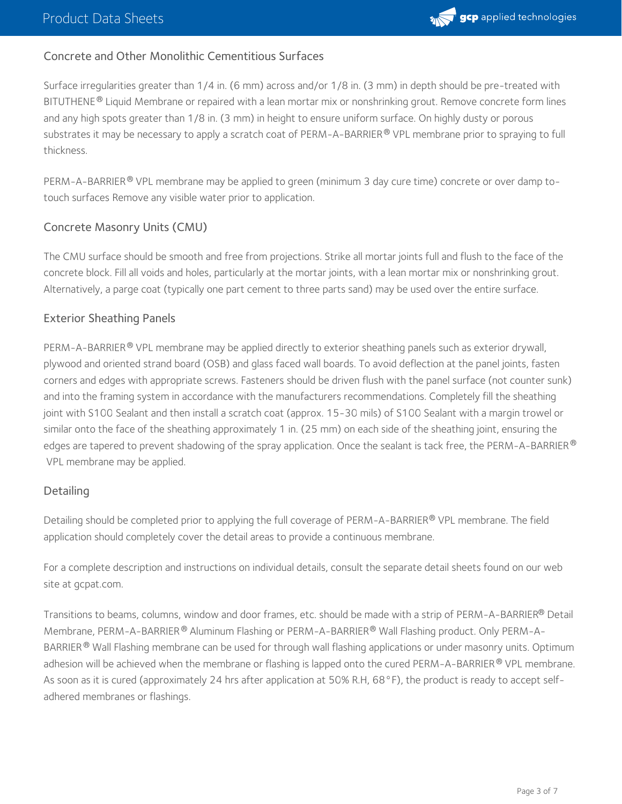

#### Concrete and Other Monolithic Cementitious Surfaces

Surface irregularities greater than 1/4 in. (6 mm) across and/or 1/8 in. (3 mm) in depth should be pre-treated with BITUTHENE® Liquid Membrane or repaired with a lean mortar mix or nonshrinking grout. Remove concrete form lines and any high spots greater than 1/8 in. (3 mm) in height to ensure uniform surface. On highly dusty or porous substrates it may be necessary to apply a scratch coat of PERM-A-BARRIER® VPL membrane prior to spraying to full thickness.

PERM-A-BARRIER® VPL membrane may be applied to green (minimum 3 day cure time) concrete or over damp totouch surfaces Remove any visible water prior to application.

#### Concrete Masonry Units (CMU)

The CMU surface should be smooth and free from projections. Strike all mortar joints full and flush to the face of the concrete block. Fill all voids and holes, particularly at the mortar joints, with a lean mortar mix or nonshrinking grout. Alternatively, a parge coat (typically one part cement to three parts sand) may be used over the entire surface.

#### Exterior Sheathing Panels

PERM-A-BARRIER® VPL membrane may be applied directly to exterior sheathing panels such as exterior drywall, plywood and oriented strand board (OSB) and glass faced wall boards. To avoid deflection at the panel joints, fasten corners and edges with appropriate screws. Fasteners should be driven flush with the panel surface (not counter sunk) and into the framing system in accordance with the manufacturers recommendations. Completely fill the sheathing joint with S100 Sealant and then install a scratch coat (approx. 15-30 mils) of S100 Sealant with a margin trowel or similar onto the face of the sheathing approximately 1 in. (25 mm) on each side of the sheathing joint, ensuring the edges are tapered to prevent shadowing of the spray application. Once the sealant is tack free, the PERM-A-BARRIER  $^\circ$ VPL membrane may be applied.

#### **Detailing**

Detailing should be completed prior to applying the full coverage of PERM-A-BARRIER® VPL membrane. The field application should completely cover the detail areas to provide a continuous membrane.

For a complete description and instructions on individual details, consult the separate detail sheets found on our web site at gcpat.com.

Transitions to beams, columns, window and door frames, etc. should be made with a strip of PERM-A-BARRIER® Detail Membrane, PERM-A-BARRIER® Aluminum Flashing or PERM-A-BARRIER® Wall Flashing product. Only PERM-A-BARRIER ® Wall Flashing membrane can be used for through wall flashing applications or under masonry units. Optimum adhesion will be achieved when the membrane or flashing is lapped onto the cured PERM-A-BARRIER® VPL membrane. As soon as it is cured (approximately 24 hrs after application at 50% R.H, 68°F), the product is ready to accept selfadhered membranes or flashings.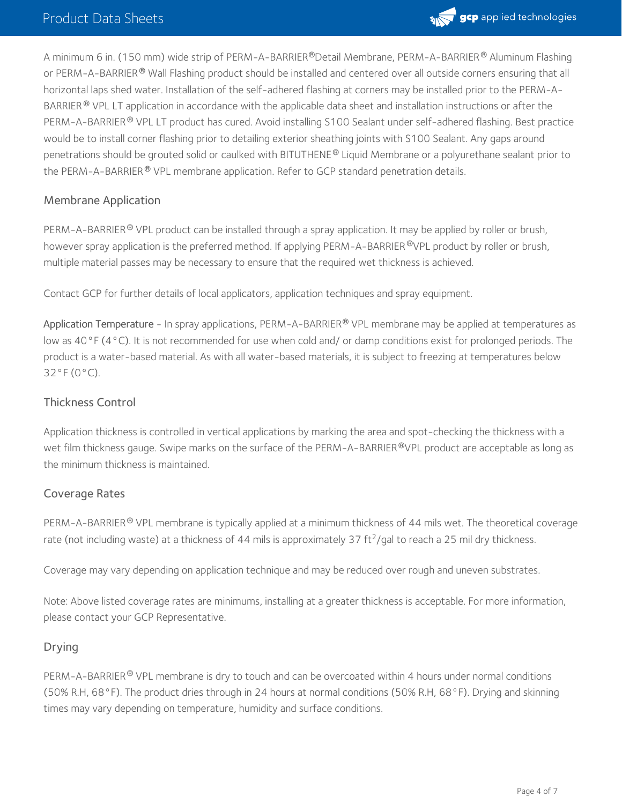

A minimum 6 in. (150 mm) wide strip of PERM-A-BARRIER®Detail Membrane, PERM-A-BARRIER® Aluminum Flashing or PERM-A-BARRIER® Wall Flashing product should be installed and centered over all outside corners ensuring that all horizontal laps shed water. Installation of the self-adhered flashing at corners may be installed prior to the PERM-A- BARRIER  $^{\circledR}$  VPL LT application in accordance with the applicable data sheet and installation instructions or after the PERM-A-BARRIER® VPL LT product has cured. Avoid installing S100 Sealant under self-adhered flashing. Best practice would be to install corner flashing prior to detailing exterior sheathing joints with S100 Sealant. Any gaps around penetrations should be grouted solid or caulked with BITUTHENE® Liquid Membrane or a polyurethane sealant prior to the PERM-A-BARRIER® VPL membrane application. Refer to GCP standard penetration details.

#### Membrane Application

PERM-A-BARRIER® VPL product can be installed through a spray application. It may be applied by roller or brush, however spray application is the preferred method. If applying PERM-A-BARRIER ®VPL product by roller or brush, multiple material passes may be necessary to ensure that the required wet thickness is achieved.

Contact GCP for further details of local applicators, application techniques and spray equipment.

Application Temperature - In spray applications, PERM-A-BARRIER® VPL membrane may be applied at temperatures as low as 40°F (4°C). It is not recommended for use when cold and/ or damp conditions exist for prolonged periods. The product is a water-based material. As with all water-based materials, it is subject to freezing at temperatures below 32°F (0°C).

#### Thickness Control

Application thickness is controlled in vertical applications by marking the area and spot-checking the thickness with a wet film thickness gauge. Swipe marks on the surface of the PERM-A-BARRIER®VPL product are acceptable as long as the minimum thickness is maintained.

#### Coverage Rates

PERM-A-BARRIER® VPL membrane is typically applied at a minimum thickness of 44 mils wet. The theoretical coverage rate (not including waste) at a thickness of 44 mils is approximately 37 ft<sup>2</sup>/gal to reach a 25 mil dry thickness.

Coverage may vary depending on application technique and may be reduced over rough and uneven substrates.

Note: Above listed coverage rates are minimums, installing at a greater thickness is acceptable. For more information, please contact your GCP Representative.

#### Drying

PERM-A-BARRIER® VPL membrane is dry to touch and can be overcoated within 4 hours under normal conditions (50% R.H, 68°F). The product dries through in 24 hours at normal conditions (50% R.H, 68°F). Drying and skinning times may vary depending on temperature, humidity and surface conditions.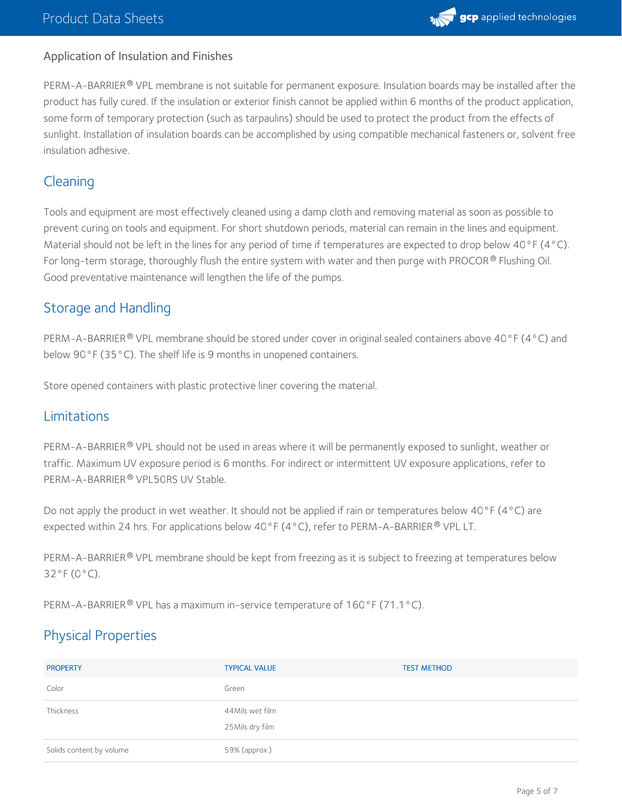

#### Application of Insulation and Finishes

PERM-A-BARRIER® VPL membrane is not suitable for permanent exposure. Insulation boards may be installed after the product has fully cured. If the insulation or exterior finish cannot be applied within 6 months of the product application, some form of temporary protection (such as tarpaulins) should be used to protect the product from the effects of sunlight. Installation of insulation boards can be accomplished by using compatible mechanical fasteners or, solvent free insulation adhesive.

## Cleaning

Tools and equipment are most effectively cleaned using a damp cloth and removing material as soon as possible to prevent curing on tools and equipment. For short shutdown periods, material can remain in the lines and equipment. Material should not be left in the lines for any period of time if temperatures are expected to drop below 40°F (4°C). For long-term storage, thoroughly flush the entire system with water and then purge with PROCOR  $^\circ$  Flushing Oil.  $\,$ Good preventative maintenance will lengthen the life of the pumps.

## Storage and Handling

PERM-A-BARRIER® VPL membrane should be stored under cover in original sealed containers above 40°F (4°C) and below 90°F (35°C). The shelf life is 9 months in unopened containers.

Store opened containers with plastic protective liner covering the material.

## Limitations

PERM-A-BARRIER® VPL should not be used in areas where it will be permanently exposed to sunlight, weather or traffic. Maximum UV exposure period is 6 months. For indirect or intermittent UV exposure applications, refer to PERM-A-BARRIER® VPL50RS UV Stable.

Do not apply the product in wet weather. It should not be applied if rain or temperatures below 40°F (4°C) are expected within 24 hrs. For applications below 40°F (4°C), refer to PERM-A-BARRIER® VPL LT.

PERM-A-BARRIER® VPL membrane should be kept from freezing as it is subject to freezing at temperatures below 32°F (0°C).

PERM-A-BARRIER® VPL has a maximum in-service temperature of 160°F (71.1°C).

## Physical Properties

| <b>PROPERTY</b>          | <b>TYPICAL VALUE</b>                | <b>TEST METHOD</b> |
|--------------------------|-------------------------------------|--------------------|
| Color                    | Green                               |                    |
| Thickness                | 44Mils wet film<br>25 Mils dry film |                    |
| Solids content by volume | 59% (approx.)                       |                    |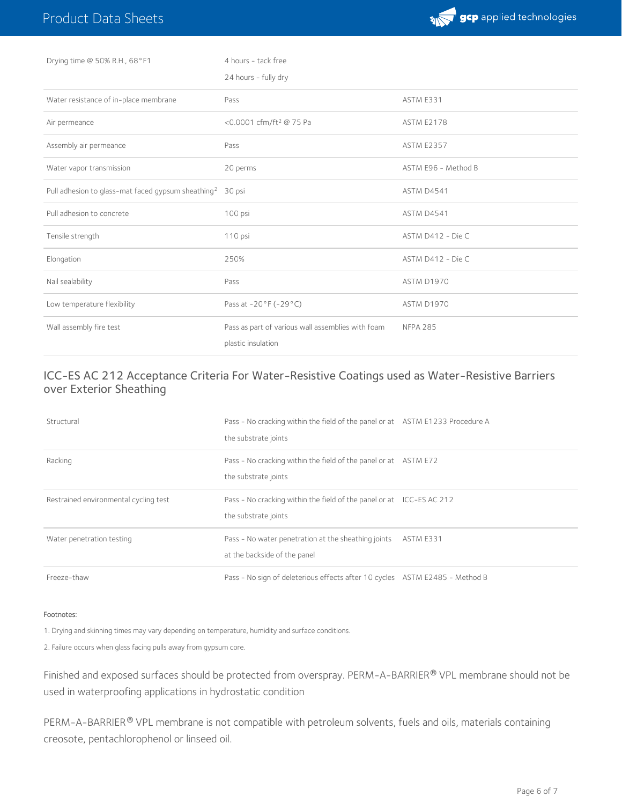

| Drying time @ 50% R.H., 68°F1                                         | 4 hours - tack free                                                     |                     |
|-----------------------------------------------------------------------|-------------------------------------------------------------------------|---------------------|
|                                                                       | 24 hours - fully dry                                                    |                     |
| Water resistance of in-place membrane                                 | Pass                                                                    | ASTM E331           |
| Air permeance                                                         | <0.0001 cfm/ft <sup>2</sup> @ 75 Pa                                     | <b>ASTM E2178</b>   |
| Assembly air permeance                                                | Pass                                                                    | <b>ASTM E2357</b>   |
| Water vapor transmission                                              | 20 perms                                                                | ASTM E96 - Method B |
| Pull adhesion to glass-mat faced gypsum sheathing <sup>2</sup> 30 psi |                                                                         | <b>ASTM D4541</b>   |
| Pull adhesion to concrete                                             | 100 psi                                                                 | ASTM D4541          |
| Tensile strength                                                      | 110 psi                                                                 | ASTM D412 - Die C   |
| Elongation                                                            | 250%                                                                    | ASTM D412 - Die C   |
| Nail sealability                                                      | Pass                                                                    | <b>ASTM D1970</b>   |
| Low temperature flexibility                                           | Pass at -20°F (-29°C)                                                   | ASTM D1970          |
| Wall assembly fire test                                               | Pass as part of various wall assemblies with foam<br>plastic insulation | <b>NFPA 285</b>     |

#### ICC-ES AC 212 Acceptance Criteria For Water-Resistive Coatings used as Water-Resistive Barriers over Exterior Sheathing

| Structural                            | Pass - No cracking within the field of the panel or at ASTM E1233 Procedure A<br>the substrate joints |           |
|---------------------------------------|-------------------------------------------------------------------------------------------------------|-----------|
| Racking                               | Pass - No cracking within the field of the panel or at ASTM E72<br>the substrate joints               |           |
| Restrained environmental cycling test | Pass - No cracking within the field of the panel or at ICC-ES AC 212<br>the substrate joints          |           |
| Water penetration testing             | Pass - No water penetration at the sheathing joints<br>at the backside of the panel                   | ASTM E331 |
| Freeze-thaw                           | Pass - No sign of deleterious effects after 10 cycles ASTM E2485 - Method B                           |           |

#### Footnotes:

1. Drying and skinning times may vary depending on temperature, humidity and surface conditions.

2. Failure occurs when glass facing pulls away from gypsum core.

Finished and exposed surfaces should be protected from overspray. PERM-A-BARRIER® VPL membrane should not be used in waterproofing applications in hydrostatic condition

PERM-A-BARRIER® VPL membrane is not compatible with petroleum solvents, fuels and oils, materials containing creosote, pentachlorophenol or linseed oil.